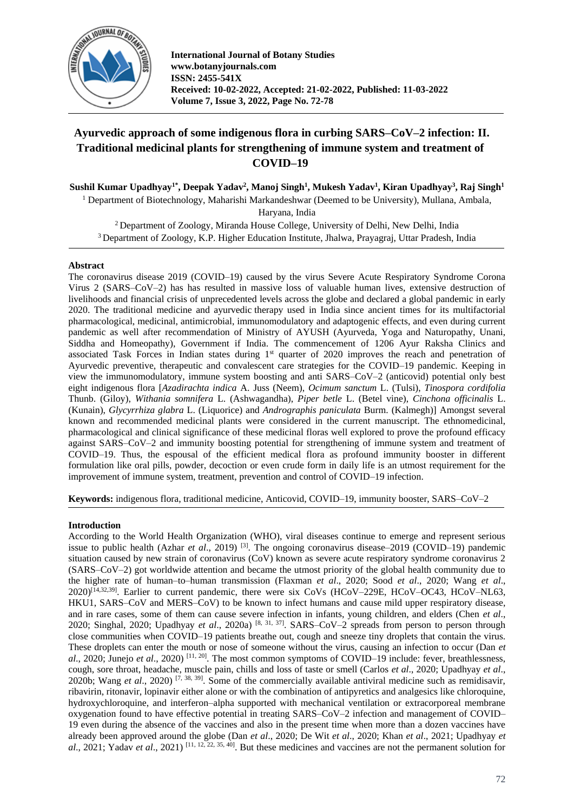

**International Journal of Botany Studies www.botanyjournals.com ISSN: 2455-541X Received: 10-02-2022, Accepted: 21-02-2022, Published: 11-03-2022 Volume 7, Issue 3, 2022, Page No. 72-78**

# **Ayurvedic approach of some indigenous flora in curbing SARS–CoV–2 infection: II. Traditional medicinal plants for strengthening of immune system and treatment of COVID–19**

**Sushil Kumar Upadhyay1\* , Deepak Yadav<sup>2</sup> , Manoj Singh<sup>1</sup> , Mukesh Yadav<sup>1</sup> , Kiran Upadhyay<sup>3</sup> , Raj Singh<sup>1</sup>** <sup>1</sup> Department of Biotechnology, Maharishi Markandeshwar (Deemed to be University), Mullana, Ambala, Haryana, India

<sup>2</sup>Department of Zoology, Miranda House College, University of Delhi, New Delhi, India <sup>3</sup>Department of Zoology, K.P. Higher Education Institute, Jhalwa, Prayagraj, Uttar Pradesh, India

# **Abstract**

The coronavirus disease 2019 (COVID–19) caused by the virus Severe Acute Respiratory Syndrome Corona Virus 2 (SARS–CoV–2) has has resulted in massive loss of valuable human lives, extensive destruction of livelihoods and financial crisis of unprecedented levels across the globe and declared a global pandemic in early 2020. The traditional medicine and ayurvedic therapy used in India since ancient times for its multifactorial pharmacological, medicinal, antimicrobial, immunomodulatory and adaptogenic effects, and even during current pandemic as well after recommendation of Ministry of AYUSH (Ayurveda, Yoga and Naturopathy, Unani, Siddha and Homeopathy), Government if India. The commencement of 1206 Ayur Raksha Clinics and associated Task Forces in Indian states during  $1<sup>st</sup>$  quarter of 2020 improves the reach and penetration of Ayurvedic preventive, therapeutic and convalescent care strategies for the COVID–19 pandemic. Keeping in view the immunomodulatory, immune system boosting and anti SARS–CoV–2 (anticovid) potential only best eight indigenous flora [*Azadirachta indica* A. Juss (Neem), *Ocimum sanctum* L. (Tulsi), *Tinospora cordifolia*  Thunb. (Giloy), *Withania somnifera* L. (Ashwagandha), *Piper betle* L. (Betel vine), *Cinchona officinalis* L. (Kunain), *Glycyrrhiza glabra* L. (Liquorice) and *Andrographis paniculata* Burm. (Kalmegh)] Amongst several known and recommended medicinal plants were considered in the current manuscript. The ethnomedicinal, pharmacological and clinical significance of these medicinal floras well explored to prove the profound efficacy against SARS–CoV–2 and immunity boosting potential for strengthening of immune system and treatment of COVID–19. Thus, the espousal of the efficient medical flora as profound immunity booster in different formulation like oral pills, powder, decoction or even crude form in daily life is an utmost requirement for the improvement of immune system, treatment, prevention and control of COVID–19 infection.

**Keywords:** indigenous flora, traditional medicine, Anticovid, COVID–19, immunity booster, SARS–CoV–2

#### **Introduction**

According to the World Health Organization (WHO), viral diseases continue to emerge and represent serious issue to public health (Azhar *et al*., 2019) [3]. The ongoing coronavirus disease–2019 (COVID–19) pandemic situation caused by new strain of coronavirus (CoV) known as severe acute respiratory syndrome coronavirus 2 (SARS–CoV–2) got worldwide attention and became the utmost priority of the global health community due to the higher rate of human–to–human transmission (Flaxman *et al*., 2020; Sood *et al*., 2020; Wang *et al*., 2020)[14,32,39]. Earlier to current pandemic, there were six CoVs (HCoV–229E, HCoV–OC43, HCoV–NL63, HKU1, SARS–CoV and MERS–CoV) to be known to infect humans and cause mild upper respiratory disease, and in rare cases, some of them can cause severe infection in infants, young children, and elders (Chen *et al*., 2020; Singhal, 2020; Upadhyay *et al*., 2020a) [8, 31, 37] . SARS–CoV–2 spreads from person to person through close communities when COVID–19 patients breathe out, cough and sneeze tiny droplets that contain the virus. These droplets can enter the mouth or nose of someone without the virus, causing an infection to occur (Dan *et al*., 2020; Junejo *et al*., 2020) [11, 20]. The most common symptoms of COVID–19 include: fever, breathlessness, cough, sore throat, headache, muscle pain, chills and loss of taste or smell (Carlos *et al*., 2020; Upadhyay *et al*., 2020b; Wang *et al*., 2020) [7, 38, 39]. Some of the commercially available antiviral medicine such as remidisavir, ribavirin, ritonavir, lopinavir either alone or with the combination of antipyretics and analgesics like chloroquine, hydroxychloroquine, and interferon–alpha supported with mechanical ventilation or extracorporeal membrane oxygenation found to have effective potential in treating SARS–CoV–2 infection and management of COVID– 19 even during the absence of the vaccines and also in the present time when more than a dozen vaccines have already been approved around the globe (Dan *et al*., 2020; De Wit *et al*., 2020; Khan *et al*., 2021; Upadhyay *et al*., 2021; Yadav *et al.*, 2021)<sup>[11, 12, 22, 35, 40]. But these medicines and vaccines are not the permanent solution for</sup>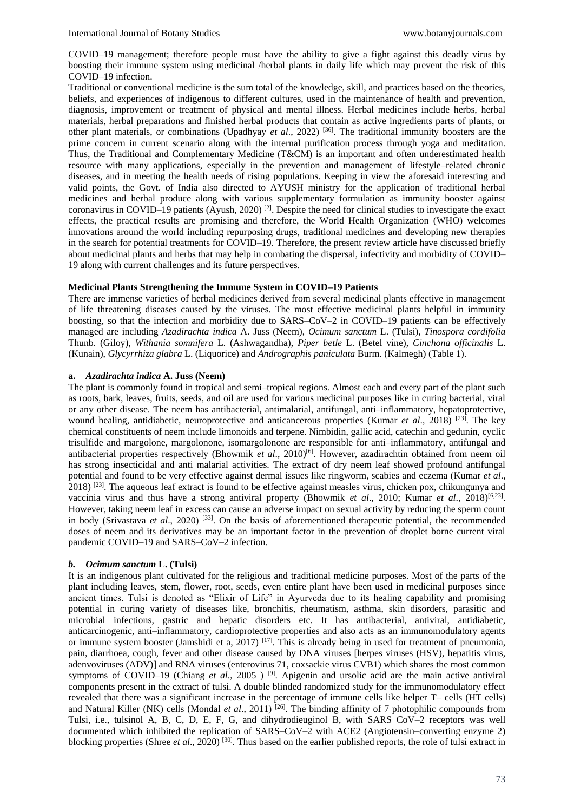COVID–19 management; therefore people must have the ability to give a fight against this deadly virus by boosting their immune system using medicinal /herbal plants in daily life which may prevent the risk of this COVID–19 infection.

Traditional or conventional medicine is the sum total of the knowledge, skill, and practices based on the theories, beliefs, and experiences of indigenous to different cultures, used in the maintenance of health and prevention, diagnosis, improvement or treatment of physical and mental illness. Herbal medicines include herbs, herbal materials, herbal preparations and finished herbal products that contain as active ingredients parts of plants, or other plant materials, or combinations (Upadhyay *et al*., 2022) [36]. The traditional immunity boosters are the prime concern in current scenario along with the internal purification process through yoga and meditation. Thus, the Traditional and Complementary Medicine (T&CM) is an important and often underestimated health resource with many applications, especially in the prevention and management of lifestyle–related chronic diseases, and in meeting the health needs of rising populations. Keeping in view the aforesaid interesting and valid points, the Govt. of India also directed to AYUSH ministry for the application of traditional herbal medicines and herbal produce along with various supplementary formulation as immunity booster against coronavirus in COVID–19 patients (Ayush, 2020)<sup>[2]</sup>. Despite the need for clinical studies to investigate the exact effects, the practical results are promising and therefore, the World Health Organization (WHO) welcomes innovations around the world including repurposing drugs, traditional medicines and developing new therapies in the search for potential treatments for COVID–19. Therefore, the present review article have discussed briefly about medicinal plants and herbs that may help in combating the dispersal, infectivity and morbidity of COVID– 19 along with current challenges and its future perspectives.

# **Medicinal Plants Strengthening the Immune System in COVID–19 Patients**

There are immense varieties of herbal medicines derived from several medicinal plants effective in management of life threatening diseases caused by the viruses. The most effective medicinal plants helpful in immunity boosting, so that the infection and morbidity due to SARS–CoV–2 in COVID–19 patients can be effectively managed are including *Azadirachta indica* A. Juss (Neem), *Ocimum sanctum* L. (Tulsi), *Tinospora cordifolia*  Thunb. (Giloy), *Withania somnifera* L. (Ashwagandha), *Piper betle* L. (Betel vine), *Cinchona officinalis* L. (Kunain), *Glycyrrhiza glabra* L. (Liquorice) and *Andrographis paniculata* Burm. (Kalmegh) (Table 1).

### **a.** *Azadirachta indica* **A. Juss (Neem)**

The plant is commonly found in tropical and semi–tropical regions. Almost each and every part of the plant such as roots, bark, leaves, fruits, seeds, and oil are used for various medicinal purposes like in curing bacterial, viral or any other disease. The neem has antibacterial, antimalarial, antifungal, anti–inflammatory, hepatoprotective, wound healing, antidiabetic, neuroprotective and anticancerous properties (Kumar *et al*., 2018) [23]. The key chemical constituents of neem include limonoids and terpene. Nimbidin, gallic acid, catechin and gedunin, cyclic trisulfide and margolone, margolonone, isomargolonone are responsible for anti–inflammatory, antifungal and antibacterial properties respectively (Bhowmik et al., 2010)<sup>[6]</sup>. However, azadirachtin obtained from neem oil has strong insecticidal and anti malarial activities. The extract of dry neem leaf showed profound antifungal potential and found to be very effective against dermal issues like ringworm, scabies and eczema (Kumar *et al*.,  $2018$ ) <sup>[23]</sup>. The aqueous leaf extract is found to be effective against measles virus, chicken pox, chikungunya and vaccinia virus and thus have a strong antiviral property (Bhowmik *et al.*, 2010; Kumar *et al.*, 2018)<sup>[6,23]</sup>. However, taking neem leaf in excess can cause an adverse impact on sexual activity by reducing the sperm count in body (Srivastava *et al*., 2020) [33]. On the basis of aforementioned therapeutic potential, the recommended doses of neem and its derivatives may be an important factor in the prevention of droplet borne current viral pandemic COVID–19 and SARS–CoV–2 infection.

# *b. Ocimum sanctum* **L. (Tulsi)**

It is an indigenous plant cultivated for the religious and traditional medicine purposes. Most of the parts of the plant including leaves, stem, flower, root, seeds, even entire plant have been used in medicinal purposes since ancient times. Tulsi is denoted as "Elixir of Life" in Ayurveda due to its healing capability and promising potential in curing variety of diseases like, bronchitis, rheumatism, asthma, skin disorders, parasitic and microbial infections, gastric and hepatic disorders etc. It has antibacterial, antiviral, antidiabetic, anticarcinogenic, anti–inflammatory, cardioprotective properties and also acts as an immunomodulatory agents or immune system booster (Jamshidi et a, 2017) <sup>[17]</sup>. This is already being in used for treatment of pneumonia, pain, diarrhoea, cough, fever and other disease caused by DNA viruses [herpes viruses (HSV), hepatitis virus, adenvoviruses (ADV)] and RNA viruses (enterovirus 71, coxsackie virus CVB1) which shares the most common symptoms of COVID–19 (Chiang *et al.*, 2005 ) <sup>[9]</sup>. Apigenin and ursolic acid are the main active antiviral components present in the extract of tulsi. A double blinded randomized study for the immunomodulatory effect revealed that there was a significant increase in the percentage of immune cells like helper T– cells (HT cells) and Natural Killer (NK) cells (Mondal *et al.*, 2011) <sup>[26]</sup>. The binding affinity of 7 photophilic compounds from Tulsi, i.e., tulsinol A, B, C, D, E, F, G, and dihydrodieuginol B, with SARS CoV–2 receptors was well documented which inhibited the replication of SARS–CoV–2 with ACE2 (Angiotensin–converting enzyme 2) blocking properties (Shree *et al*., 2020) [30]. Thus based on the earlier published reports, the role of tulsi extract in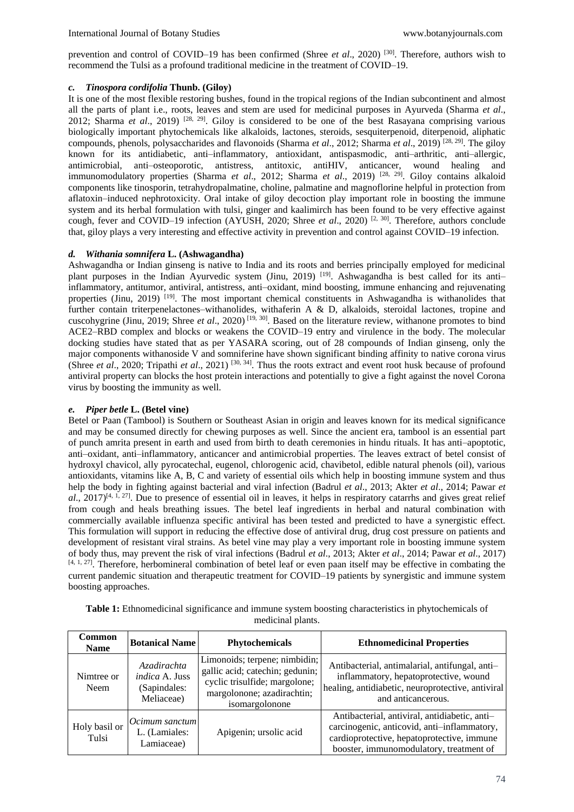prevention and control of COVID–19 has been confirmed (Shree *et al.*, 2020)<sup>[30]</sup>. Therefore, authors wish to recommend the Tulsi as a profound traditional medicine in the treatment of COVID–19.

# *c. Tinospora cordifolia* **Thunb. (Giloy)**

It is one of the most flexible restoring bushes, found in the tropical regions of the Indian subcontinent and almost all the parts of plant i.e., roots, leaves and stem are used for medicinal purposes in Ayurveda (Sharma *et al*., 2012; Sharma *et al*., 2019) [28, 29] . Giloy is considered to be one of the best Rasayana comprising various biologically important phytochemicals like alkaloids, lactones, steroids, sesquiterpenoid, diterpenoid, aliphatic compounds, phenols, polysaccharides and flavonoids (Sharma *et al*., 2012; Sharma *et al*., 2019) [28, 29]. The giloy known for its antidiabetic, anti–inflammatory, antioxidant, antispasmodic, anti–arthritic, anti–allergic, antimicrobial, anti-osteoporotic, antistress, antitoxic, antiHIV, anticancer, wound healing and immunomodulatory properties (Sharma *et al*., 2012; Sharma *et al*., 2019) [28, 29]. Giloy contains alkaloid components like tinosporin, tetrahydropalmatine, choline, palmatine and magnoflorine helpful in protection from aflatoxin–induced nephrotoxicity. Oral intake of giloy decoction play important role in boosting the immune system and its herbal formulation with tulsi, ginger and kaalimirch has been found to be very effective against cough, fever and COVID–19 infection (AYUSH, 2020; Shree *et al.*, 2020)<sup>[2, 30]</sup>. Therefore, authors conclude that, giloy plays a very interesting and effective activity in prevention and control against COVID–19 infection.

# *d. Withania somnifera* **L. (Ashwagandha)**

Ashwagandha or Indian ginseng is native to India and its roots and berries principally employed for medicinal plant purposes in the Indian Ayurvedic system (Jinu, 2019) <sup>[19]</sup>. Ashwagandha is best called for its antiinflammatory, antitumor, antiviral, antistress, anti–oxidant, mind boosting, immune enhancing and rejuvenating properties (Jinu, 2019) [19]. The most important chemical constituents in Ashwagandha is withanolides that further contain triterpenelactones–withanolides, withaferin A & D, alkaloids, steroidal lactones, tropine and cuscohygrine (Jinu, 2019; Shree *et al*., 2020) [19, 30]. Based on the literature review, withanone promotes to bind ACE2–RBD complex and blocks or weakens the COVID–19 entry and virulence in the body. The molecular docking studies have stated that as per YASARA scoring, out of 28 compounds of Indian ginseng, only the major components withanoside V and somniferine have shown significant binding affinity to native corona virus (Shree *et al*., 2020; Tripathi *et al*., 2021) [30, 34] . Thus the roots extract and event root husk because of profound antiviral property can blocks the host protein interactions and potentially to give a fight against the novel Corona virus by boosting the immunity as well.

#### *e. Piper betle* **L. (Betel vine)**

Betel or Paan (Tambool) is Southern or Southeast Asian in origin and leaves known for its medical significance and may be consumed directly for chewing purposes as well. Since the ancient era, tambool is an essential part of punch amrita present in earth and used from birth to death ceremonies in hindu rituals. It has anti–apoptotic, anti–oxidant, anti–inflammatory, anticancer and antimicrobial properties. The leaves extract of betel consist of hydroxyl chavicol, ally pyrocatechal, eugenol, chlorogenic acid, chavibetol, edible natural phenols (oil), various antioxidants, vitamins like A, B, C and variety of essential oils which help in boosting immune system and thus help the body in fighting against bacterial and viral infection (Badrul *et al*., 2013; Akter *et al*., 2014; Pawar *et*   $a$ ., 2017)<sup>[4, 1, 27]. Due to presence of essential oil in leaves, it helps in respiratory catarrhs and gives great relief</sup> from cough and heals breathing issues. The betel leaf ingredients in herbal and natural combination with commercially available influenza specific antiviral has been tested and predicted to have a synergistic effect. This formulation will support in reducing the effective dose of antiviral drug, drug cost pressure on patients and development of resistant viral strains. As betel vine may play a very important role in boosting immune system of body thus, may prevent the risk of viral infections (Badrul *et al*., 2013; Akter *et al*., 2014; Pawar *et al*., 2017)  $[4, 1, 27]$ . Therefore, herbomineral combination of betel leaf or even paan itself may be effective in combating the current pandemic situation and therapeutic treatment for COVID–19 patients by synergistic and immune system boosting approaches.

| Common<br><b>Name</b>  | <b>Botanical Name</b>                                       | <b>Phytochemicals</b>                                                                                                                             | <b>Ethnomedicinal Properties</b>                                                                                                                                                      |
|------------------------|-------------------------------------------------------------|---------------------------------------------------------------------------------------------------------------------------------------------------|---------------------------------------------------------------------------------------------------------------------------------------------------------------------------------------|
| Nimtree or<br>Neem     | Azadirachta<br>indica A. Juss<br>(Sapindales:<br>Meliaceae) | Limonoids; terpene; nimbidin;<br>gallic acid; catechin; gedunin;<br>cyclic trisulfide; margolone;<br>margolonone; azadirachtin;<br>isomargolonone | Antibacterial, antimalarial, antifungal, anti-<br>inflammatory, hepatoprotective, wound<br>healing, antidiabetic, neuroprotective, antiviral<br>and anticancerous.                    |
| Holy basil or<br>Tulsi | $ Ocimum$ sanctum<br>L. (Lamiales:<br>Lamiaceae)            | Apigenin; ursolic acid                                                                                                                            | Antibacterial, antiviral, antidiabetic, anti-<br>carcinogenic, anticovid, anti-inflammatory,<br>cardioprotective, hepatoprotective, immune<br>booster, immunomodulatory, treatment of |

**Table 1:** Ethnomedicinal significance and immune system boosting characteristics in phytochemicals of medicinal plants.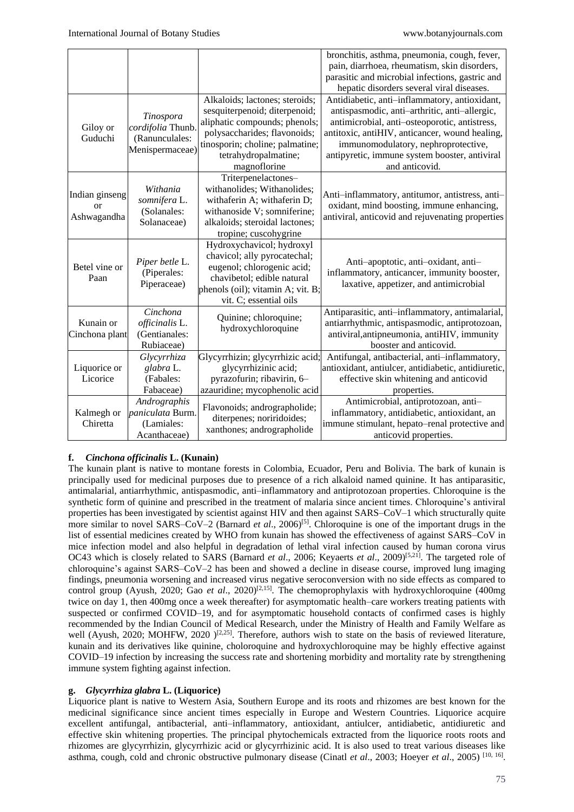|                                                |                                                                     |                                                                                                                                                                                                             | bronchitis, asthma, pneumonia, cough, fever,<br>pain, diarrhoea, rheumatism, skin disorders,<br>parasitic and microbial infections, gastric and<br>hepatic disorders several viral diseases.                                                                                                                |
|------------------------------------------------|---------------------------------------------------------------------|-------------------------------------------------------------------------------------------------------------------------------------------------------------------------------------------------------------|-------------------------------------------------------------------------------------------------------------------------------------------------------------------------------------------------------------------------------------------------------------------------------------------------------------|
| Giloy or<br>Guduchi                            | Tinospora<br>cordifolia Thunb.<br>(Ranunculales:<br>Menispermaceae) | Alkaloids; lactones; steroids;<br>sesquiterpenoid; diterpenoid;<br>aliphatic compounds; phenols;<br>polysaccharides; flavonoids;<br>tinosporin; choline; palmatine;<br>tetrahydropalmatine;<br>magnoflorine | Antidiabetic, anti-inflammatory, antioxidant,<br>antispasmodic, anti-arthritic, anti-allergic,<br>antimicrobial, anti-osteoporotic, antistress,<br>antitoxic, antiHIV, anticancer, wound healing,<br>immunomodulatory, nephroprotective,<br>antipyretic, immune system booster, antiviral<br>and anticovid. |
| Indian ginseng<br><sub>or</sub><br>Ashwagandha | Withania<br>somnifera L.<br>(Solanales:<br>Solanaceae)              | Triterpenelactones-<br>withanolides; Withanolides;<br>withaferin A; withaferin D;<br>withanoside V; somniferine;<br>alkaloids; steroidal lactones;<br>tropine; cuscohygrine                                 | Anti-inflammatory, antitumor, antistress, anti-<br>oxidant, mind boosting, immune enhancing,<br>antiviral, anticovid and rejuvenating properties                                                                                                                                                            |
| Betel vine or<br>Paan                          | Piper betle L.<br>(Piperales:<br>Piperaceae)                        | Hydroxychavicol; hydroxyl<br>chavicol; ally pyrocatechal;<br>eugenol; chlorogenic acid;<br>chavibetol; edible natural<br>phenols (oil); vitamin A; vit. B;<br>vit. C; essential oils                        | Anti-apoptotic, anti-oxidant, anti-<br>inflammatory, anticancer, immunity booster,<br>laxative, appetizer, and antimicrobial                                                                                                                                                                                |
| Kunain or<br>Cinchona plant                    | Cinchona<br>officinalis L.<br>(Gentianales:<br>Rubiaceae)           | Quinine; chloroquine;<br>hydroxychloroquine                                                                                                                                                                 | Antiparasitic, anti-inflammatory, antimalarial,<br>antiarrhythmic, antispasmodic, antiprotozoan,<br>antiviral, antipneumonia, antiHIV, immunity<br>booster and anticovid.                                                                                                                                   |
| Liquorice or<br>Licorice                       | Glycyrrhiza<br>glabra L.<br>(Fabales:<br>Fabaceae)                  | Glycyrrhizin; glycyrrhizic acid;<br>glycyrrhizinic acid;<br>pyrazofurin; ribavirin, 6-<br>azauridine; mycophenolic acid                                                                                     | Antifungal, antibacterial, anti-inflammatory,<br>antioxidant, antiulcer, antidiabetic, antidiuretic,<br>effective skin whitening and anticovid<br>properties.                                                                                                                                               |
| Kalmegh or<br>Chiretta                         | Andrographis<br>paniculata Burm.<br>(Lamiales:<br>Acanthaceae)      | Flavonoids; andrographolide;<br>diterpenes; noriridoides;<br>xanthones; andrographolide                                                                                                                     | Antimicrobial, antiprotozoan, anti-<br>inflammatory, antidiabetic, antioxidant, an<br>immune stimulant, hepato-renal protective and<br>anticovid properties.                                                                                                                                                |

# **f.** *Cinchona officinalis* **L. (Kunain)**

The kunain plant is native to montane forests in Colombia, Ecuador, Peru and Bolivia. The bark of kunain is principally used for medicinal purposes due to presence of a rich alkaloid named quinine. It has antiparasitic, antimalarial, antiarrhythmic, antispasmodic, anti–inflammatory and antiprotozoan properties. Chloroquine is the synthetic form of quinine and prescribed in the treatment of malaria since ancient times. Chloroquine's antiviral properties has been investigated by scientist against HIV and then against SARS–CoV–1 which structurally quite more similar to novel SARS–CoV–2 (Barnard *et al.*, 2006)<sup>[5]</sup>. Chloroquine is one of the important drugs in the list of essential medicines created by WHO from kunain has showed the effectiveness of against SARS–CoV in mice infection model and also helpful in degradation of lethal viral infection caused by human corona virus OC43 which is closely related to SARS (Barnard *et al*., 2006; Keyaerts *et al*., 2009)[5,21]. The targeted role of chloroquine's against SARS–CoV–2 has been and showed a decline in disease course, improved lung imaging findings, pneumonia worsening and increased virus negative seroconversion with no side effects as compared to control group (Ayush, 2020; Gao *et al.*, 2020)<sup>[2,15]</sup>. The chemoprophylaxis with hydroxychloroquine (400mg) twice on day 1, then 400mg once a week thereafter) for asymptomatic health–care workers treating patients with suspected or confirmed COVID–19, and for asymptomatic household contacts of confirmed cases is highly recommended by the Indian Council of Medical Research, under the Ministry of Health and Family Welfare as well (Ayush, 2020; MOHFW, 2020 )<sup>[2,25]</sup>. Therefore, authors wish to state on the basis of reviewed literature, kunain and its derivatives like quinine, choloroquine and hydroxychloroquine may be highly effective against COVID–19 infection by increasing the success rate and shortening morbidity and mortality rate by strengthening immune system fighting against infection.

# **g.** *Glycyrrhiza glabra* **L. (Liquorice)**

Liquorice plant is native to Western Asia, Southern Europe and its roots and rhizomes are best known for the medicinal significance since ancient times especially in Europe and Western Countries. Liquorice acquire excellent antifungal, antibacterial, anti–inflammatory, antioxidant, antiulcer, antidiabetic, antidiuretic and effective skin whitening properties. The principal phytochemicals extracted from the liquorice roots roots and rhizomes are glycyrrhizin, glycyrrhizic acid or glycyrrhizinic acid. It is also used to treat various diseases like asthma, cough, cold and chronic obstructive pulmonary disease (Cinatl *et al.*, 2003; Hoeyer *et al.*, 2005) <sup>[10, 16]</sup>.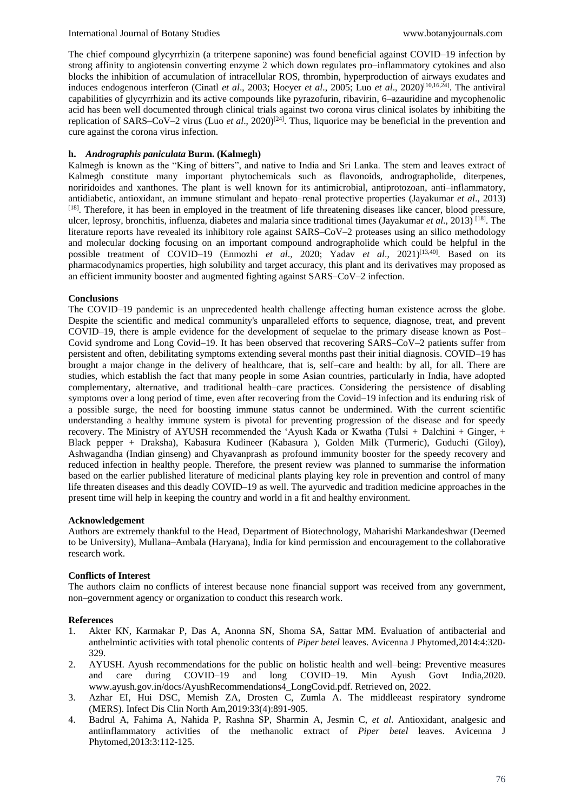The chief compound glycyrrhizin (a triterpene saponine) was found beneficial against COVID–19 infection by strong affinity to angiotensin converting enzyme 2 which down regulates pro–inflammatory cytokines and also blocks the inhibition of accumulation of intracellular ROS, thrombin, hyperproduction of airways exudates and induces endogenous interferon (Cinatl *et al*., 2003; Hoeyer *et al*., 2005; Luo *et al*., 2020)[10,16,24]. The antiviral capabilities of glycyrrhizin and its active compounds like pyrazofurin, ribavirin, 6–azauridine and mycophenolic acid has been well documented through clinical trials against two corona virus clinical isolates by inhibiting the replication of SARS–CoV–2 virus (Luo *et al.*, 2020)<sup>[24]</sup>. Thus, liquorice may be beneficial in the prevention and cure against the corona virus infection.

#### **h.** *Andrographis paniculata* **Burm. (Kalmegh)**

Kalmegh is known as the "King of bitters", and native to India and Sri Lanka. The stem and leaves extract of Kalmegh constitute many important phytochemicals such as flavonoids, andrographolide, diterpenes, noriridoides and xanthones. The plant is well known for its antimicrobial, antiprotozoan, anti–inflammatory, antidiabetic, antioxidant, an immune stimulant and hepato–renal protective properties (Jayakumar *et al*., 2013) [18]. Therefore, it has been in employed in the treatment of life threatening diseases like cancer, blood pressure, ulcer, leprosy, bronchitis, influenza, diabetes and malaria since traditional times (Jayakumar *et al*., 2013) [18]. The literature reports have revealed its inhibitory role against SARS–CoV–2 proteases using an silico methodology and molecular docking focusing on an important compound andrographolide which could be helpful in the possible treatment of COVID-19 (Enmozhi *et al.*, 2020; Yadav *et al.*, 2021)<sup>[13,40]</sup>. Based on its pharmacodynamics properties, high solubility and target accuracy, this plant and its derivatives may proposed as an efficient immunity booster and augmented fighting against SARS–CoV–2 infection.

#### **Conclusions**

The COVID–19 pandemic is an unprecedented health challenge affecting human existence across the globe. Despite the scientific and medical community's unparalleled efforts to sequence, diagnose, treat, and prevent COVID–19, there is ample evidence for the development of sequelae to the primary disease known as Post– Covid syndrome and Long Covid–19. It has been observed that recovering SARS–CoV–2 patients suffer from persistent and often, debilitating symptoms extending several months past their initial diagnosis. COVID–19 has brought a major change in the delivery of healthcare, that is, self–care and health: by all, for all. There are studies, which establish the fact that many people in some Asian countries, particularly in India, have adopted complementary, alternative, and traditional health–care practices. Considering the persistence of disabling symptoms over a long period of time, even after recovering from the Covid–19 infection and its enduring risk of a possible surge, the need for boosting immune status cannot be undermined. With the current scientific understanding a healthy immune system is pivotal for preventing progression of the disease and for speedy recovery. The Ministry of AYUSH recommended the 'Ayush Kada or Kwatha (Tulsi *+* Dalchini + Ginger, + Black pepper + Draksha), Kabasura Kudineer (Kabasura ), Golden Milk (Turmeric), Guduchi (Giloy), Ashwagandha (Indian ginseng) and Chyavanprash as profound immunity booster for the speedy recovery and reduced infection in healthy people. Therefore, the present review was planned to summarise the information based on the earlier published literature of medicinal plants playing key role in prevention and control of many life threaten diseases and this deadly COVID–19 as well. The ayurvedic and tradition medicine approaches in the present time will help in keeping the country and world in a fit and healthy environment.

#### **Acknowledgement**

Authors are extremely thankful to the Head, Department of Biotechnology, Maharishi Markandeshwar (Deemed to be University), Mullana–Ambala (Haryana), India for kind permission and encouragement to the collaborative research work.

# **Conflicts of Interest**

The authors claim no conflicts of interest because none financial support was received from any government, non–government agency or organization to conduct this research work.

#### **References**

- 1. Akter KN, Karmakar P, Das A, Anonna SN, Shoma SA, Sattar MM. Evaluation of antibacterial and anthelmintic activities with total phenolic contents of *Piper betel* leaves. Avicenna J Phytomed,2014:4:320- 329.
- 2. AYUSH. Ayush recommendations for the public on holistic health and well–being: Preventive measures and care during COVID–19 and long COVID–19. Min Ayush Govt India,2020. www.ayush.gov.in/docs/AyushRecommendations4\_LongCovid.pdf. Retrieved on, 2022.
- 3. Azhar EI, Hui DSC, Memish ZA, Drosten C, Zumla A. The middleeast respiratory syndrome (MERS). Infect Dis Clin North Am,2019:33(4):891-905.
- 4. Badrul A, Fahima A, Nahida P, Rashna SP, Sharmin A, Jesmin C, *et al*. Antioxidant, analgesic and antiinflammatory activities of the methanolic extract of *Piper betel* leaves. Avicenna J Phytomed,2013:3:112-125.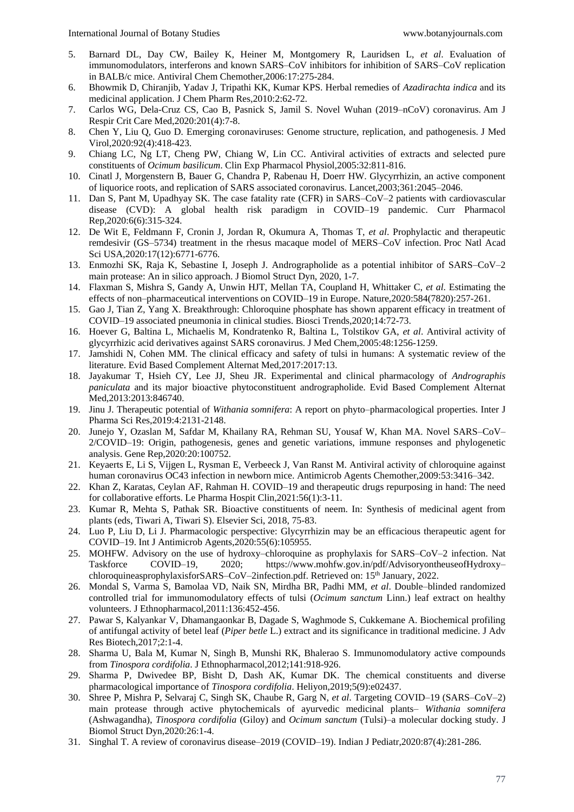- 5. Barnard DL, Day CW, Bailey K, Heiner M, Montgomery R, Lauridsen L, *et al*. Evaluation of immunomodulators, interferons and known SARS–CoV inhibitors for inhibition of SARS–CoV replication in BALB/c mice. Antiviral Chem Chemother,2006:17:275-284.
- 6. Bhowmik D, Chiranjib, Yadav J, Tripathi KK, Kumar KPS. Herbal remedies of *Azadirachta indica* and its medicinal application. J Chem Pharm Res,2010:2:62-72.
- 7. Carlos WG, Dela-Cruz CS, Cao B, Pasnick S, Jamil S. Novel Wuhan (2019–nCoV) coronavirus. Am J Respir Crit Care Med,2020:201(4):7-8.
- 8. Chen Y, Liu Q, Guo D. Emerging coronaviruses: Genome structure, replication, and pathogenesis. J Med Virol,2020:92(4):418-423.
- 9. Chiang LC, Ng LT, Cheng PW, Chiang W, Lin CC. Antiviral activities of extracts and selected pure constituents of *Ocimum basilicum*. Clin Exp Pharmacol Physiol,2005:32:811-816.
- 10. Cinatl J, Morgenstern B, Bauer G, Chandra P, Rabenau H, Doerr HW. Glycyrrhizin, an active component of liquorice roots, and replication of SARS associated coronavirus. Lancet,2003;361:2045–2046.
- 11. Dan S, Pant M, Upadhyay SK. The case fatality rate (CFR) in SARS–CoV–2 patients with cardiovascular disease (CVD): A global health risk paradigm in COVID–19 pandemic. Curr Pharmacol Rep,2020:6(6):315-324.
- 12. De Wit E, Feldmann F, Cronin J, Jordan R, Okumura A, Thomas T, *et al*. Prophylactic and therapeutic remdesivir (GS–5734) treatment in the rhesus macaque model of MERS–CoV infection. Proc Natl Acad Sci USA,2020:17(12):6771-6776.
- 13. Enmozhi SK, Raja K, Sebastine I, Joseph J. Andrographolide as a potential inhibitor of SARS–CoV–2 main protease: An in silico approach. J Biomol Struct Dyn, 2020, 1-7.
- 14. Flaxman S, Mishra S, Gandy A, Unwin HJT, Mellan TA, Coupland H, Whittaker C, *et al*. Estimating the effects of non–pharmaceutical interventions on COVID–19 in Europe. Nature,2020:584(7820):257-261.
- 15. Gao J, Tian Z, Yang X. Breakthrough: Chloroquine phosphate has shown apparent efficacy in treatment of COVID–19 associated pneumonia in clinical studies. Biosci Trends,2020;14:72-73.
- 16. Hoever G, Baltina L, Michaelis M, Kondratenko R, Baltina L, Tolstikov GA, *et al*. Antiviral activity of glycyrrhizic acid derivatives against SARS coronavirus. J Med Chem,2005:48:1256-1259.
- 17. Jamshidi N, Cohen MM. The clinical efficacy and safety of tulsi in humans: A systematic review of the literature. Evid Based Complement Alternat Med,2017:2017:13.
- 18. Jayakumar T, Hsieh CY, Lee JJ, Sheu JR. Experimental and clinical pharmacology of *Andrographis paniculata* and its major bioactive phytoconstituent andrographolide. Evid Based Complement Alternat Med,2013:2013:846740.
- 19. Jinu J. Therapeutic potential of *Withania somnifera*: A report on phyto–pharmacological properties. Inter J Pharma Sci Res,2019:4:2131-2148.
- 20. Junejo Y, Ozaslan M, Safdar M, Khailany RA, Rehman SU, Yousaf W, Khan MA. Novel SARS–CoV– 2/COVID–19: Origin, pathogenesis, genes and genetic variations, immune responses and phylogenetic analysis. Gene Rep,2020:20:100752.
- 21. Keyaerts E, Li S, Vijgen L, Rysman E, Verbeeck J, Van Ranst M. Antiviral activity of chloroquine against human coronavirus OC43 infection in newborn mice. Antimicrob Agents Chemother, 2009:53:3416–342.
- 22. Khan Z, Karatas, Ceylan AF, Rahman H. COVID–19 and therapeutic drugs repurposing in hand: The need for collaborative efforts. Le Pharma Hospit Clin,2021:56(1):3-11.
- 23. Kumar R, Mehta S, Pathak SR. Bioactive constituents of neem. In: Synthesis of medicinal agent from plants (eds, Tiwari A, Tiwari S). Elsevier Sci, 2018, 75-83.
- 24. Luo P, Liu D, Li J. Pharmacologic perspective: Glycyrrhizin may be an efficacious therapeutic agent for COVID–19. Int J Antimicrob Agents,2020:55(6):105955.
- 25. MOHFW. Advisory on the use of hydroxy–chloroquine as prophylaxis for SARS–CoV–2 infection. Nat Taskforce COVID–19, 2020; https://www.mohfw.gov.in/pdf/AdvisoryontheuseofHydroxy– chloroquineasprophylaxisforSARS–CoV–2infection.pdf. Retrieved on: 15<sup>th</sup> January, 2022.
- 26. Mondal S, Varma S, Bamolaa VD, Naik SN, Mirdha BR, Padhi MM, *et al*. Double–blinded randomized controlled trial for immunomodulatory effects of tulsi (*Ocimum sanctum* Linn.) leaf extract on healthy volunteers. J Ethnopharmacol,2011:136:452-456.
- 27. Pawar S, Kalyankar V, Dhamangaonkar B, Dagade S, Waghmode S, Cukkemane A. Biochemical profiling of antifungal activity of betel leaf (*Piper betle* L.) extract and its significance in traditional medicine. J Adv Res Biotech,2017;2:1-4.
- 28. Sharma U, Bala M, Kumar N, Singh B, Munshi RK, Bhalerao S. Immunomodulatory active compounds from *Tinospora cordifolia*. J Ethnopharmacol,2012;141:918-926.
- 29. Sharma P, Dwivedee BP, Bisht D, Dash AK, Kumar DK. The chemical constituents and diverse pharmacological importance of *Tinospora cordifolia*. Heliyon,2019;5(9):e02437.
- 30. Shree P, Mishra P, Selvaraj C, Singh SK, Chaube R, Garg N, *et al*. Targeting COVID–19 (SARS–CoV–2) main protease through active phytochemicals of ayurvedic medicinal plants– *Withania somnifera* (Ashwagandha), *Tinospora cordifolia* (Giloy) and *Ocimum sanctum* (Tulsi)–a molecular docking study. J Biomol Struct Dyn,2020:26:1-4.
- 31. Singhal T. A review of coronavirus disease–2019 (COVID–19). Indian J Pediatr,2020:87(4):281-286.